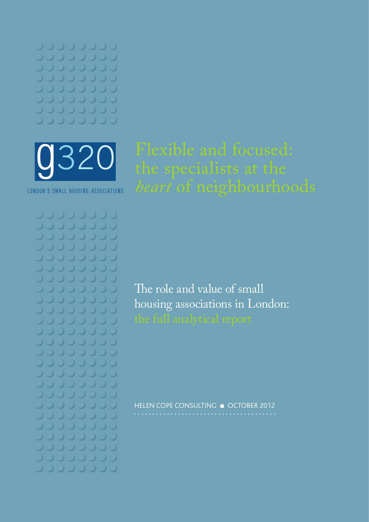

LONDON'S SMALL HOUSING ASSOCIATIONS

JJJJJJJJ JUUDUUDU **JUUUUUU JOUUUUU UUUUU**UU  $\begin{picture}(20,20) \put(0,0){\line(1,0){10}} \put(15,0){\line(1,0){10}} \put(15,0){\line(1,0){10}} \put(15,0){\line(1,0){10}} \put(15,0){\line(1,0){10}} \put(15,0){\line(1,0){10}} \put(15,0){\line(1,0){10}} \put(15,0){\line(1,0){10}} \put(15,0){\line(1,0){10}} \put(15,0){\line(1,0){10}} \put(15,0){\line(1,0){10}} \put(15,0){\line(1$ 00000 000000 JOUUUUUU **JUUUUUUU JOUUUUUU JOUUUU** JUUJUJU 000000 JOJJJJJ JOJJOJU JOJJOJJ **JUUUUU**U 00000000 **JOJJOJ**OJ **JUJJJJJ** 0000000 JOJJOJJJ **JOJOOOJ JOJJOJJJ** 

The role and value of small housing associations in London:

HELEN COPE CONSULTING ■ OCTOBER 2012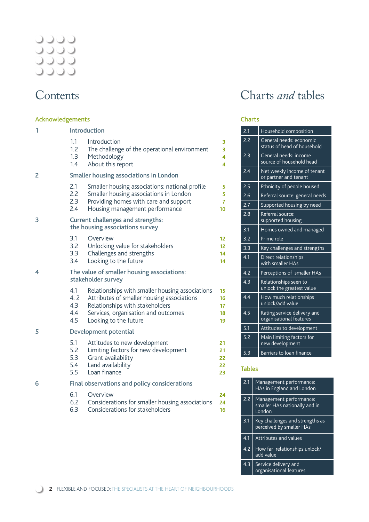# 2222<br>2222<br>2222

### **Contents**

### Acknowledgements

| 1 |     | Introduction                                                                |                 |
|---|-----|-----------------------------------------------------------------------------|-----------------|
|   | 1.1 | Introduction                                                                | 3               |
|   | 1.2 | The challenge of the operational environment                                | 3               |
|   | 1.3 | Methodology                                                                 | 4               |
|   | 1.4 | About this report                                                           | 4               |
| 2 |     | <b>Smaller housing associations in London</b>                               |                 |
|   | 2.1 | Smaller housing associations: national profile                              | 5               |
|   | 2.2 | Smaller housing associations in London                                      | 5               |
|   | 2.3 | Providing homes with care and support                                       | $\overline{7}$  |
|   | 2.4 | Housing management performance                                              | 10              |
| 3 |     | <b>Current challenges and strengths:</b><br>the housing associations survey |                 |
|   | 3.1 | Overview                                                                    | 12 <sup>2</sup> |
|   | 3.2 | Unlocking value for stakeholders                                            | 12              |
|   | 3.3 | Challenges and strengths                                                    | 14              |
|   | 3.4 | Looking to the future                                                       | 14              |
| 4 |     | The value of smaller housing associations:<br>stakeholder survey            |                 |
|   | 4.1 | Relationships with smaller housing associations                             | 15              |
|   | 4.2 | Attributes of smaller housing associations                                  | 16              |
|   | 4.3 | Relationships with stakeholders                                             | 17              |
|   | 4.4 | Services, organisation and outcomes                                         | 18              |
|   | 4.5 | Looking to the future                                                       | 19              |
| 5 |     | Development potential                                                       |                 |
|   | 5.1 | Attitudes to new development                                                | 21              |
|   | 5.2 | Limiting factors for new development                                        | 21              |
|   | 5.3 | Grant availability                                                          | 22              |
|   | 5.4 | Land availability                                                           | 22              |
|   | 5.5 | Loan finance                                                                | 23              |
| 6 |     | Final observations and policy considerations                                |                 |
|   | 6.1 | Overview                                                                    | 24              |
|   | 6.2 | Considerations for smaller housing associations                             | 24              |
|   | 6.3 | Considerations for stakeholders                                             | 16              |

### Charts *and* tables

### Charts

| 2.1 | Household composition                                  |
|-----|--------------------------------------------------------|
| 2.2 | General needs: economic<br>status of head of household |
| 2.3 | General needs: income<br>source of household head      |
| 2.4 | Net weekly income of tenant<br>or partner and tenant   |
| 2.5 | Ethnicity of people housed                             |
| 2.6 | Referral source: general needs                         |
| 2.7 | Supported housing by need                              |
| 2.8 | Referral source:<br>supported housing                  |
| 3.1 | Homes owned and managed                                |
| 3.2 | Prime role                                             |
| 3.3 | Key challenges and strengths                           |
| 4.1 | Direct relationships<br>with smaller HAs               |
| 4.2 | Perceptions of smaller HAs                             |
| 4.3 | Relationships seen to<br>unlock the greatest value     |
| 4.4 | How much relationships<br>unlock/add value             |
| 4.5 | Rating service delivery and<br>organisational features |
| 5.1 | Attitudes to development                               |
| 5.2 | Main limiting factors for<br>new development           |
| 5.3 | Barriers to loan finance                               |

### Tables

| 2.1 | Management performance:<br>HAs in England and London               |
|-----|--------------------------------------------------------------------|
| 2.2 | Management performance:<br>smaller HAs nationally and in<br>London |
| 3.1 | Key challenges and strengths as<br>perceived by smaller HAs        |
| 4.1 | <b>Attributes and values</b>                                       |
| 4.2 | How far relationships unlock/<br>add value                         |
| 43  | Service delivery and<br>organisational features                    |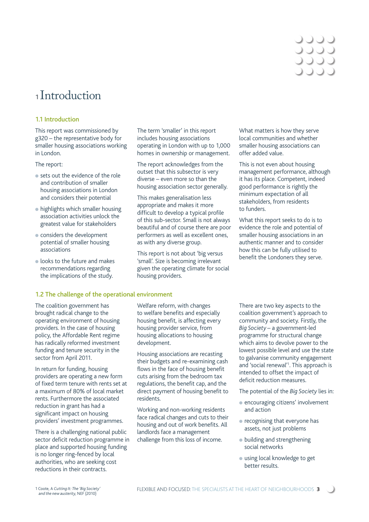### しつつこ 0000 0000

### **<sup>1</sup>**Introduction

### 1.1 Introduction

This report was commissioned by g320 – the representative body for smaller housing associations working in London.

#### The report:

- sets out the evidence of the role and contribution of smaller housing associations in London and considers their potential
- highlights which smaller housing association activities unlock the greatest value for stakeholders
- considers the development potential of smaller housing associations
- looks to the future and makes recommendations regarding the implications of the study.

### 1.2 The challenge of the operational environment

The coalition government has brought radical change to the operating environment of housing providers. In the case of housing policy, the Affordable Rent regime has radically reformed investment funding and tenure security in the sector from April 2011.

In return for funding, housing providers are operating a new form of fixed term tenure with rents set at a maximum of 80% of local market rents. Furthermore the associated reduction in grant has had a significant impact on housing providers' investment programmes.

There is a challenging national public sector deficit reduction programme in place and supported housing funding is no longer ring-fenced by local authorities, who are seeking cost reductions in their contracts.

The term 'smaller' in this report includes housing associations operating in London with up to 1,000 homes in ownership or management.

The report acknowledges from the outset that this subsector is very diverse – even more so than the housing association sector generally.

This makes generalisation less appropriate and makes it more difficult to develop a typical profile of this sub-sector. Small is not always beautiful and of course there are poor performers as well as excellent ones, as with any diverse group.

This report is not about 'big versus 'small'. Size is becoming irrelevant given the operating climate for social housing providers.

What matters is how they serve local communities and whether smaller housing associations can offer added value.

This is not even about housing management performance, although it has its place. Competent, indeed good performance is rightly the minimum expectation of all stakeholders, from residents to funders.

What this report seeks to do is to evidence the role and potential of smaller housing associations in an authentic manner and to consider how this can be fully utilised to benefit the Londoners they serve.

Welfare reform, with changes to welfare benefits and especially housing benefit, is affecting every housing provider service, from housing allocations to housing development.

Housing associations are recasting their budgets and re-examining cash flows in the face of housing benefit cuts arising from the bedroom tax regulations, the benefit cap, and the direct payment of housing benefit to residents.

Working and non-working residents face radical changes and cuts to their housing and out of work benefits. All landlords face a management challenge from this loss of income.

There are two key aspects to the coalition government's approach to community and society. Firstly, the *Big Society* – a government-led programme for structural change which aims to devolve power to the lowest possible level and use the state to galvanise community engagement and 'social renewal'1 . This approach is intended to offset the impact of deficit reduction measures.

The potential of the *Big Society* lies in:

- encouraging citizens' involvement and action
- recognising that everyone has assets, not just problems
- building and strengthening social networks
- using local knowledge to get better results.

<sup>1</sup> Coote, A *Cutting It: The 'Big Society' and the new austerity*, NEF (2010)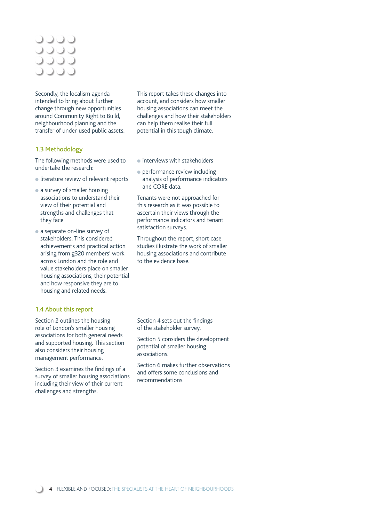### 0000 **JJJJ** 0000 **DOOC**

Secondly, the localism agenda intended to bring about further change through new opportunities around Community Right to Build, neighbourhood planning and the transfer of under-used public assets.

### 1.3 Methodology

The following methods were used to undertake the research:

- literature review of relevant reports
- a survey of smaller housing associations to understand their view of their potential and strengths and challenges that they face
- a separate on-line survey of stakeholders. This considered achievements and practical action arising from g320 members' work across London and the role and value stakeholders place on smaller housing associations, their potential and how responsive they are to housing and related needs.

### 1.4 About this report

Section 2 outlines the housing role of London's smaller housing associations for both general needs and supported housing. This section also considers their housing management performance.

Section 3 examines the findings of a survey of smaller housing associations including their view of their current challenges and strengths.

This report takes these changes into account, and considers how smaller housing associations can meet the challenges and how their stakeholders can help them realise their full potential in this tough climate.

- interviews with stakeholders
- performance review including analysis of performance indicators and CORE data.

Tenants were not approached for this research as it was possible to ascertain their views through the performance indicators and tenant satisfaction surveys.

Throughout the report, short case studies illustrate the work of smaller housing associations and contribute to the evidence base.

Section 4 sets out the findings of the stakeholder survey.

Section 5 considers the development potential of smaller housing associations.

Section 6 makes further observations and offers some conclusions and recommendations.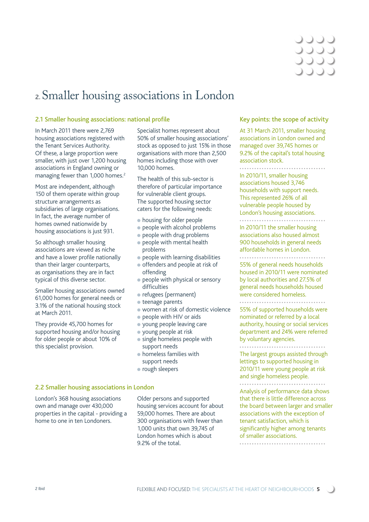

### **2.** Smaller housing associations in London

### 2.1 Smaller housing associations: national profile

In March 2011 there were 2,769 housing associations registered with the Tenant Services Authority. Of these, a large proportion were smaller, with just over 1,200 housing associations in England owning or managing fewer than 1,000 homes.<sup>2</sup>

Most are independent, although 150 of them operate within group structure arrangements as subsidiaries of large organisations. In fact, the average number of homes owned nationwide by housing associations is just 931.

So although smaller housing associations are viewed as niche and have a lower profile nationally than their larger counterparts, as organisations they are in fact typical of this diverse sector.

Smaller housing associations owned 61,000 homes for general needs or 3.1% of the national housing stock at March 2011.

They provide 45,700 homes for supported housing and/or housing for older people or about 10% of this specialist provision.

Specialist homes represent about 50% of smaller housing associations' stock as opposed to just 15% in those organisations with more than 2,500 homes including those with over 10,000 homes.

The health of this sub-sector is therefore of particular importance for vulnerable client groups. The supported housing sector caters for the following needs:

- housing for older people
- people with alcohol problems
- people with drug problems
- people with mental health problems
- people with learning disabilities
- offenders and people at risk of offending
- people with physical or sensory difficulties
- refugees (permanent)
- teenage parents
- women at risk of domestic violence
- people with HIV or aids
- young people leaving care
- young people at risk
- single homeless people with support needs
- homeless families with support needs
- rough sleepers

#### 2.2 Smaller housing associations in London

London's 368 housing associations own and manage over 430,000 properties in the capital - providing a home to one in ten Londoners.

Older persons and supported housing services account for about 59,000 homes. There are about 300 organisations with fewer than 1,000 units that own 39,745 of London homes which is about 9.2% of the total.

### Key points: the scope of activity

At 31 March 2011, smaller housing associations in London owned and managed over 39,745 homes or 9.2% of the capital's total housing association stock.

..................................

In 2010/11, smaller housing associations housed 3,746 households with support needs. This represented 26% of all vulnerable people housed by London's housing associations.

. . . . . . .

In 2010/11 the smaller housing associations also housed almost 900 households in general needs affordable homes in London. 

55% of general needs households housed in 2010/11 were nominated by local authorities and 27.5% of general needs households housed were considered homeless.

..............................

55% of supported households were nominated or referred by a local authority, housing or social services department and 24% were referred by voluntary agencies.

The largest groups assisted through lettings to supported housing in 2010/11 were young people at risk and single homeless people.<br>\*\*\*\*\*\*\*\*\*\*\*\*\*\*\*\*\*\*\*\*\*\*\*\*\*\*\*\*\*

Analysis of performance data shows that there is little difference across the board between larger and smaller associations with the exception of tenant satisfaction, which is significantly higher among tenants of smaller associations.

...................................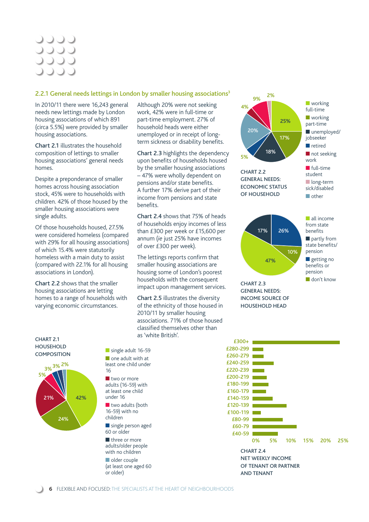### **JJJJ JJJJ JJJJ**

### 2.2.1 General needs lettings in London by smaller housing associations<sup>3</sup>

In 2010/11 there were 16,243 general needs new lettings made by London housing associations of which 891 (circa 5.5%) were provided by smaller housing associations.

Chart 2.1 illustrates the household composition of lettings to smaller housing associations' general needs homes.

Despite a preponderance of smaller homes across housing association stock, 45% were to households with children. 42% of those housed by the smaller housing associations were single adults.

Of those households housed, 27.5% were considered homeless (compared with 29% for all housing associations) of which 15.4% were statutorily homeless with a main duty to assist (compared with 22.1% for all housing associations in London).

Chart 2.2 shows that the smaller housing associations are letting homes to a range of households with varying economic circumstances.

Although 20% were not seeking work, 42% were in full-time or part-time employment. 27% of household heads were either unemployed or in receipt of longterm sickness or disability benefits.

Chart 2.3 highlights the dependency upon benefits of households housed by the smaller housing associations – 47% were wholly dependent on pensions and/or state benefits. A further 17% derive part of their income from pensions and state benefits.

Chart 2.4 shows that 75% of heads of households enjoy incomes of less than £300 per week or £15,600 per annum (*ie* just 25% have incomes of over £300 per week).

The lettings reports confirm that smaller housing associations are housing some of London's poorest households with the consequent impact upon management services.

Chart 2.5 illustrates the diversity of the ethnicity of those housed in 2010/11 by smaller housing associations. 71% of those housed classified themselves other than as 'white British'.



■ don't know

CHART 2.3 GENERAL NEEDS: INCOME SOURCE OF HOUSEHOLD HEAD

CHART 2.1 HOUSEHOLD **COMPOSITION** 



■ single adult 16-59 ■ one adult with at least one child under 16 ■ two or more adults (16-59) with at least one child under 16 ■ two adults (both 16-59) with no children ■ single person aged 60 or older ■ three or more

adults/older people with no children ■ older couple (at least one aged 60

or older)

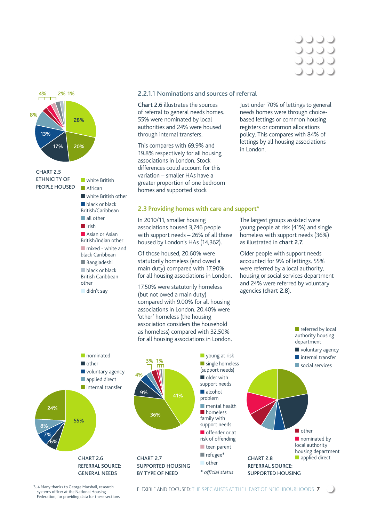



### 2.2.1.1 Nominations and sources of referral

Chart 2.6 illustrates the sources of referral to general needs homes. 55% were nominated by local authorities and 24% were housed through internal transfers.

This compares with 69.9% and 19.8% respectively for all housing associations in London. Stock differences could account for this variation – smaller HAs have a greater proportion of one bedroom homes and supported stock

#### 2.3 Providing homes with care and support<sup>4</sup>

In 2010/11, smaller housing associations housed 3,746 people with support needs – 26% of all those housed by London's HAs (14,362).

Of those housed, 20.60% were statutorily homeless (and owed a main duty) compared with 17.90% for all housing associations in London.

17.50% were statutorily homeless (but not owed a main duty) compared with 9.00% for all housing associations in London. 20.40% were 'other' homeless (the housing association considers the household as homeless) compared with 32.50% for all housing associations in London. Just under 70% of lettings to general needs homes were through choicebased lettings or common housing registers or common allocations policy. This compares with 84% of lettings by all housing associations in London.

The largest groups assisted were young people at risk (41%) and single homeless with support needs (36%) as illustrated in chart 2.7.

Older people with support needs accounted for 9% of lettings. 55% were referred by a local authority, housing or social services department and 24% were referred by voluntary agencies (chart 2.8).

> ■ referred by local authority housing



3, 4 Many thanks to George Marshall, research systems officer at the National Housing Federation, for providing data for these sections

FLEXIBLE AND FOCUSED: THE SPECIALISTS AT THE HEART OF NEIGHBOURHOODS **7**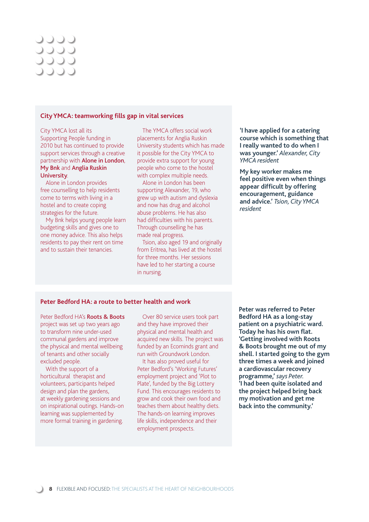### **JJJJ** 0000 **JJJJ**

#### **City YMCA: teamworking fills gap in vital services**

City YMCA lost all its Supporting People funding in 2010 but has continued to provide support services through a creative partnership with Alone in London, My Bnk and Anglia Ruskin University.

Alone in London provides free counselling to help residents come to terms with living in a hostel and to create coping strategies for the future.

My Bnk helps young people learn budgeting skills and gives one to one money advice. This also helps residents to pay their rent on time and to sustain their tenancies.

The YMCA offers social work placements for Anglia Ruskin University students which has made it possible for the City YMCA to provide extra support for young people who come to the hostel with complex multiple needs.

Alone in London has been supporting Alexander, 19, who grew up with autism and dyslexia and now has drug and alcohol abuse problems. He has also had difficulties with his parents. Through counselling he has made real progress.

Tsion, also aged 19 and originally from Eritrea, has lived at the hostel for three months. Her sessions have led to her starting a course in nursing.

**'I have applied for a catering course which is something that I really wanted to do when I was younger.'** *Alexander, City YMCA resident*

**My key worker makes me feel positive even when things appear difficult by offering encouragement, guidance and advice.'** *Tsion, City YMCA resident*

#### **Peter Bedford HA: a route to better health and work**

Peter Bedford HA's **Roots & Boots** project was set up two years ago to transform nine under-used communal gardens and improve the physical and mental wellbeing of tenants and other socially excluded people.

With the support of a horticultural therapist and volunteers, participants helped design and plan the gardens, at weekly gardening sessions and on inspirational outings. Hands-on learning was supplemented by more formal training in gardening.

Over 80 service users took part and they have improved their physical and mental health and acquired new skills. The project was funded by an Ecominds grant and run with Groundwork London.

It has also proved useful for Peter Bedford's 'Working Futures' employment project and 'Plot to Plate', funded by the Big Lottery Fund. This encourages residents to grow and cook their own food and teaches them about healthy diets. The hands-on learning improves life skills, independence and their employment prospects.

**Peter was referred to Peter Bedford HA as a long-stay patient on a psychiatric ward.**  Today he has his own flat. **'Getting involved with Roots & Boots brought me out of my shell. I started going to the gym three times a week and joined a cardiovascular recovery programme,'** *says Peter.* **'I had been quite isolated and the project helped bring back my motivation and get me back into the community.'**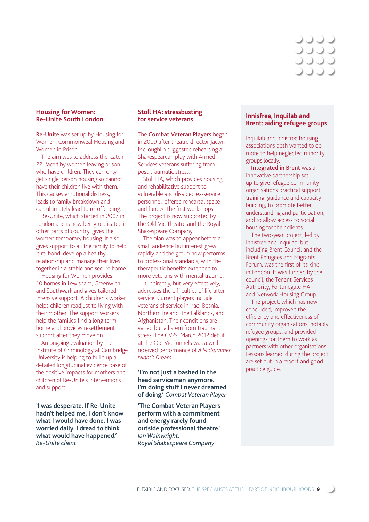### しししこ 0000 **JJJJ**

### **Housing for Women: Re-Unite South London**

Re-Unite was set up by Housing for Women, Commonweal Housing and Women in Prison.

The aim was to address the 'catch 22' faced by women leaving prison who have children. They can only get single person housing so cannot have their children live with them. This causes emotional distress, leads to family breakdown and can ultimately lead to re-offending.

Re-Unite, which started in 2007 in London and is now being replicated in other parts of country, gives the women temporary housing. It also gives support to all the family to help it re-bond, develop a healthy relationship and manage their lives together in a stable and secure home.

Housing for Women provides 10 homes in Lewisham, Greenwich and Southwark and gives tailored intensive support. A children's worker helps children readjust to living with their mother. The support workers help the families find a long term home and provides resettlement support after they move on.

An ongoing evaluation by the Institute of Criminology at Cambridge University is helping to build up a detailed longitudinal evidence base of the positive impacts for mothers and children of Re-Unite's interventions and support.

**'I was desperate. If Re-Unite hadn't helped me, I don't know what I would have done. I was worried daily. I dread to think what would have happened.'**  *Re-Unite client*

### **Stoll HA: stressbusting for service veterans**

The Combat Veteran Players began in 2009 after theatre director Jaclyn McLoughlin suggested rehearsing a Shakespearean play with Armed Services veterans suffering from post-traumatic stress.

Stoll HA, which provides housing and rehabilitative support to vulnerable and disabled ex-service personnel, offered rehearsal space and funded the first workshops. The project is now supported by the Old Vic Theatre and the Royal Shakespeare Company.

The plan was to appear before a small audience but interest grew rapidly and the group now performs to professional standards, with the therapeutic benefits extended to more veterans with mental trauma.

It indirectly, but very effectively, addresses the difficulties of life after service. Current players include veterans of service in Iraq, Bosnia, Northern Ireland, the Falklands, and Afghanistan. Their conditions are varied but all stem from traumatic stress. The CVPs' March 2012 debut at the Old Vic Tunnels was a wellreceived performance of *A Midsummer Night's Dream*.

**'I'm not just a bashed in the head serviceman anymore. I'm doing stuff I never dreamed of doing.'** *Combat Veteran Player*

**'The Combat Veteran Players perform with a commitment and energy rarely found outside professional theatre.'**  *Ian Wainwright, Royal Shakespeare Company*

### **Innisfree, Inquilab and Brent: aiding refugee groups**

Inquilab and Innisfree housing associations both wanted to do more to help neglected minority groups locally.

Integrated in Brent was an innovative partnership set up to give refugee community organisations practical support, training, guidance and capacity building, to promote better understanding and participation, and to allow access to social housing for their clients.

The two-year project, led by Innisfree and Inquilab, but including Brent Council and the Brent Refugees and Migrants Forum, was the first of its kind in London. It was funded by the council, the Tenant Services Authority, Fortunegate HA and Network Housing Group.

The project, which has now concluded, improved the efficiency and effectiveness of community organisations, notably refugee groups, and provided openings for them to work as partners with other organisations. Lessons learned during the project are set out in a report and good practice guide.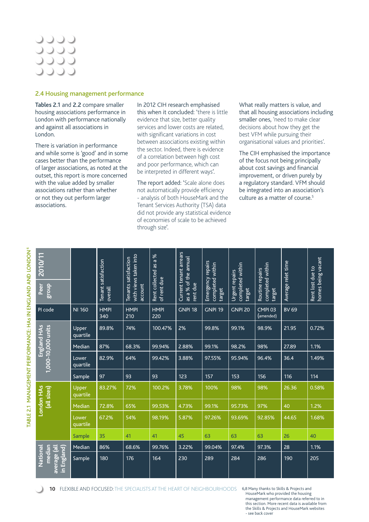### UUUU **JJJJ JJJJ**

#### 2.4 Housing management performance

Tables 2.1 and 2.2 compare smaller housing associations performance in London with performance nationally and against all associations in London.

There is variation in performance and while some is 'good' and in some cases better than the performance of larger associations, as noted at the outset, this report is more concerned with the value added by smaller associations rather than whether or not they out perform larger associations.

In 2012 CIH research emphasised this when it concluded: 'there is little evidence that size, better quality services and lower costs are related, with significant variations in cost between associations existing within the sector. Indeed, there is evidence of a correlation between high cost and poor performance, which can be interpreted in different ways'.

The report added: 'Scale alone does not automatically provide efficiency - analysis of both HouseMark and the Tenant Services Authority (TSA) data did not provide any statistical evidence of economies of scale to be achieved through size'.

What really matters is value, and that all housing associations including smaller ones, 'need to make clear decisions about how they get the best VFM while pursuing their organisational values and priorities'.

The CIH emphasised the importance of the focus not being principally about cost savings and financial improvement, or driven purely by a regulatory standard. VFM should be integrated into an association's culture as a matter of course.<sup>5</sup>

| 2010/11<br>Peer<br><b>SLonb</b>                   |                   | Tenant satisfaction<br>overall | with views taken into<br>Tenants satisfaction<br>account | $% \mathcal{C}_{\mathrm{c}}\times% \mathcal{C}_{\mathrm{c}}\times% \mathcal{C}_{\mathrm{c}}\times% \mathcal{C}_{\mathrm{c}}\times% \mathcal{C}_{\mathrm{c}}\times% \mathcal{C}_{\mathrm{c}}\times% \mathcal{C}_{\mathrm{c}}\times% \mathcal{C}_{\mathrm{c}}\times% \mathcal{C}_{\mathrm{c}}\times% \mathcal{C}_{\mathrm{c}}\times% \mathcal{C}_{\mathrm{c}}\times% \mathcal{C}_{\mathrm{c}}\times% \mathcal{C}_{\mathrm{c}}\times% \mathcal{C}_{\mathrm{c}}\times% \mathcal{C}_{\mathrm{c}}\times% \mathcal{C}_{\mathrm{$<br>$\boldsymbol{\varpi}$<br>Rent collected as<br>of rent due | Current tenant arrears<br>as a % of the annual<br>rent due | Emergency repairs<br>completed within<br>target | completed within<br>Urgent repairs<br>target | completed within<br>Routine repairs<br>target | Average relet time | homes being vacant<br>Rent lost due to |
|---------------------------------------------------|-------------------|--------------------------------|----------------------------------------------------------|----------------------------------------------------------------------------------------------------------------------------------------------------------------------------------------------------------------------------------------------------------------------------------------------------------------------------------------------------------------------------------------------------------------------------------------------------------------------------------------------------------------------------------------------------------------------------------------|------------------------------------------------------------|-------------------------------------------------|----------------------------------------------|-----------------------------------------------|--------------------|----------------------------------------|
| PI code                                           | <b>NI 160</b>     | <b>HMPI</b><br>340             | <b>HMPI</b><br>210                                       | <b>HMPI</b><br>220                                                                                                                                                                                                                                                                                                                                                                                                                                                                                                                                                                     | <b>GNPI 18</b>                                             | <b>GNPI 19</b>                                  | <b>GNPI 20</b>                               | CMPI <sub>03</sub><br>(amended)               | <b>BV 69</b>       |                                        |
|                                                   | Upper<br>quartile | 89.8%                          | 74%                                                      | 100.47%                                                                                                                                                                                                                                                                                                                                                                                                                                                                                                                                                                                | 2%                                                         | 99.8%                                           | 99.1%                                        | 98.9%                                         | 21.95              | 0.72%                                  |
| England HAS<br>1,000-10,000 units                 | Median            | 87%                            | 68.3%                                                    | 99.94%                                                                                                                                                                                                                                                                                                                                                                                                                                                                                                                                                                                 | 2.88%                                                      | 99.1%                                           | 98.2%                                        | 98%                                           | 27.89              | 1.1%                                   |
|                                                   | Lower<br>quartile | 82.9%                          | 64%                                                      | 99.42%                                                                                                                                                                                                                                                                                                                                                                                                                                                                                                                                                                                 | 3.88%                                                      | 97.55%                                          | 95.94%                                       | 96.4%                                         | 36.4               | 1.49%                                  |
|                                                   | Sample            | 97                             | 93                                                       | 93                                                                                                                                                                                                                                                                                                                                                                                                                                                                                                                                                                                     | 123                                                        | 157                                             | 153                                          | 156                                           | 116                | 114                                    |
| London HAs<br>(all sizes)                         | Upper<br>quartile | 83.27%                         | 72%                                                      | 100.2%                                                                                                                                                                                                                                                                                                                                                                                                                                                                                                                                                                                 | 3.78%                                                      | 100%                                            | 98%                                          | 98%                                           | 26.36              | 0.58%                                  |
|                                                   | Median            | 72.8%                          | 65%                                                      | 99.53%                                                                                                                                                                                                                                                                                                                                                                                                                                                                                                                                                                                 | 4.73%                                                      | 99.1%                                           | 95.73%                                       | 97%                                           | 40                 | 1.2%                                   |
|                                                   | Lower<br>quartile | 67.2%                          | 54%                                                      | 98.19%                                                                                                                                                                                                                                                                                                                                                                                                                                                                                                                                                                                 | 5.87%                                                      | 97.26%                                          | 93.69%                                       | 92.85%                                        | 44.65              | 1.68%                                  |
|                                                   | Sample            | 35                             | 41                                                       | 41                                                                                                                                                                                                                                                                                                                                                                                                                                                                                                                                                                                     | 45                                                         | 63                                              | 63                                           | 63                                            | 26                 | 40                                     |
|                                                   | Median            | 86%                            | 68.6%                                                    | 99.76%                                                                                                                                                                                                                                                                                                                                                                                                                                                                                                                                                                                 | 3.22%                                                      | 99.04%                                          | 97.4%                                        | 97.3%                                         | 28                 | 1.1%                                   |
| median<br>average (all<br>National<br>in England) | Sample            | 180                            | 176                                                      | 164                                                                                                                                                                                                                                                                                                                                                                                                                                                                                                                                                                                    | 230                                                        | 289                                             | 284                                          | 286                                           | 190                | 205                                    |

**10** FLEXIBLE AND FOCUSED: THE SPECIALISTS AT THE HEART OF NEIGHBOURHOODS 6,8 Many thanks to Skills & Projects and

HouseMark who provided the housing management performance data referred to in this section. More recent data is available from the Skills & Projects and HouseMark websites - see back cover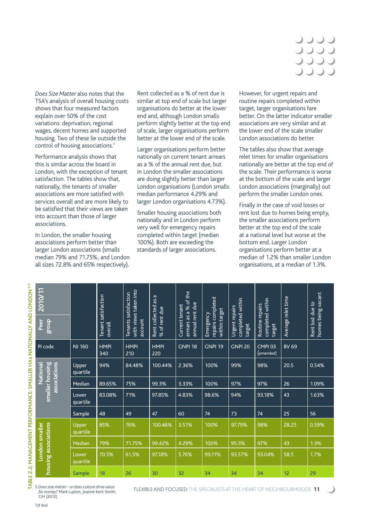## **DOOC** DOO

*Does Size Matter* also notes that the TSA's analysis of overall housing costs shows that four measured factors explain over 50% of the cost variations: deprivation, regional wages, decent homes and supported housing. Two of these lie outside the control of housing associations.7

Performance analysis shows that this is similar across the board in London, with the exception of tenant satisfaction. The tables show that, nationally, the tenants of smaller associations are more satisfied with services overall and are more likely to be satisfied that their views are taken into account than those of larger associations.

In London, the smaller housing associations perform better than larger London associations (smalls median 79% and 71.75%, and London all sizes 72.8% and 65% respectively).

Rent collected as a % of rent due is similar at top end of scale but larger organisations do better at the lower end and, although London smalls perform slightly better at the top end of scale, larger organisations perform better at the lower end of the scale.

Larger organisations perform better nationally on current tenant arrears as a % of the annual rent due, but in London the smaller associations are doing slightly better than larger London organisations (London smalls median performance 4.29% and larger London organisations 4.73%).

Smaller housing associations both nationally and in London perform very well for emergency repairs completed within target (median 100%). Both are exceeding the standards of larger associations.

However, for urgent repairs and routine repairs completed within target, larger organisations fare better. On the latter indicator smaller associations are very similar and at the lower end of the scale smaller London associations do better.

The tables also show that average relet times for smaller organisations nationally are better at the top end of the scale. Their performance is worse at the bottom of the scale and larger London associations (marginally) out perform the smaller London ones.

Finally in the case of void losses or rent lost due to homes being empty, the smaller associations perform better at the top end of the scale at a national level but worse at the bottom end. Larger London organisations perform better at a median of 1.2% than smaller London organisations, at a median of 1.3%.

| 2010/11<br>Peer<br><b>dno.</b>              |                          | satisfaction<br><b>Tenant</b><br>overall | with views taken into<br>Tenants satisfaction<br>account | Rent collected as a<br>% of rent due | arrears as a % of the<br>annual rent due<br>Current tenant | repairs completed<br>within target<br>Emergency | completed within<br>Urgent repairs<br>target | completed within<br>Routine repairs<br>target | Average relet time | homes being vacant<br>Rent lost due to |
|---------------------------------------------|--------------------------|------------------------------------------|----------------------------------------------------------|--------------------------------------|------------------------------------------------------------|-------------------------------------------------|----------------------------------------------|-----------------------------------------------|--------------------|----------------------------------------|
| PI code                                     | <b>NI 160</b>            | <b>HMPI</b><br>340                       | <b>HMPI</b><br>210                                       | <b>HMPI</b><br>220                   | <b>GNPI 18</b>                                             | <b>GNPI 19</b>                                  | <b>GNPI 20</b>                               | <b>CMPI03</b><br>(amended)                    | <b>BV 69</b>       |                                        |
| smaller housing<br>associations<br>National | Upper<br>quartile        | 94%                                      | 84.48%                                                   | 100.44%                              | 2.36%                                                      | 100%                                            | 99%                                          | 98%                                           | 20.5               | 0.54%                                  |
|                                             | Median                   | 89.65%                                   | 75%                                                      | 99.3%                                | 3.33%                                                      | 100%                                            | 97%                                          | 97%                                           | 26                 | 1.09%                                  |
|                                             | Lower<br>quartile        | 83.08%                                   | 71%                                                      | 97.85%                               | 4.83%                                                      | 98.6%                                           | 94%                                          | 93.18%                                        | 43                 | 1.63%                                  |
|                                             | Sample                   | 48                                       | 49                                                       | 47                                   | 60                                                         | 74                                              | 73                                           | 74                                            | 25                 | 56                                     |
| housing associations<br>London smaller      | <b>Upper</b><br>quartile | 85%                                      | 76%                                                      | 100.46%                              | 3.51%                                                      | 100%                                            | 97.79%                                       | 98%                                           | 28.25              | 0.59%                                  |
|                                             | Median                   | 79%                                      | 71.75%                                                   | 99.42%                               | 4.29%                                                      | 100%                                            | 95.5%                                        | 97%                                           | 43                 | 1.3%                                   |
|                                             | Lower<br>quartile        | 70.5%                                    | 61.5%                                                    | 97.18%                               | 5.76%                                                      | 99.11%                                          | 93.57%                                       | 93.04%                                        | 58.5               | 1.7%                                   |
|                                             | Sample                   | 18                                       | 26                                                       | 30                                   | 32                                                         | 34                                              | 34                                           | 34                                            | 12                 | 29                                     |

5 *Does size matter - or does culture drive value for money?* Mark Lupton, Joanne Kent-Smith, CIH (2012)

FLEXIBLE AND FOCUSED: THE SPECIALISTS AT THE HEART OF NEIGHBOURHOODS **11**

7,9 Ibid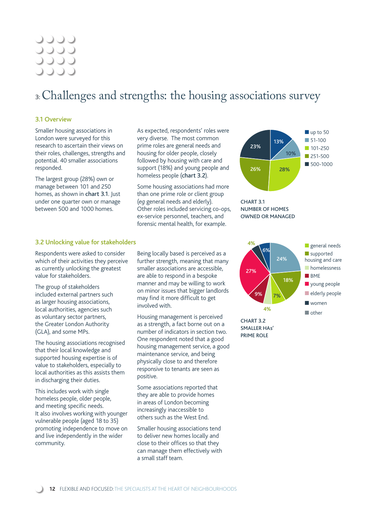### **JJJJ JJJJ** 0000

### **3:** Challenges and strengths: the housing associations survey

### 3.1 Overview

Smaller housing associations in London were surveyed for this research to ascertain their views on their roles, challenges, strengths and potential. 40 smaller associations responded.

The largest group (28%) own or manage between 101 and 250 homes, as shown in chart 3.1. Just under one quarter own or manage between 500 and 1000 homes.

As expected, respondents' roles were very diverse. The most common prime roles are general needs and housing for older people, closely followed by housing with care and support (18%) and young people and homeless people (chart 3.2).

Some housing associations had more than one prime role or client group (*eg* general needs and elderly). Other roles included servicing co-ops, ex-service personnel, teachers, and forensic mental health, for example.





### 3.2 Unlocking value for stakeholders

Respondents were asked to consider which of their activities they perceive as currently unlocking the greatest value for stakeholders.

The group of stakeholders included external partners such as larger housing associations, local authorities, agencies such as voluntary sector partners, the Greater London Authority (GLA), and some MPs.

The housing associations recognised that their local knowledge and supported housing expertise is of value to stakeholders, especially to local authorities as this assists them in discharging their duties.

This includes work with single homeless people, older people, and meeting specific needs. It also involves working with younger vulnerable people (aged 18 to 35) promoting independence to move on and live independently in the wider community.

Being locally based is perceived as a further strength, meaning that many smaller associations are accessible, are able to respond in a bespoke manner and may be willing to work on minor issues that bigger landlords may find it more difficult to get involved with.

Housing management is perceived as a strength, a fact borne out on a number of indicators in section two. One respondent noted that a good housing management service, a good maintenance service, and being physically close to and therefore responsive to tenants are seen as positive.

Some associations reported that they are able to provide homes in areas of London becoming increasingly inaccessible to others such as the West End.

Smaller housing associations tend to deliver new homes locally and close to their offices so that they can manage them effectively with a small staff team.



CHART 3.2 SMALLER HAs' PRIME ROLE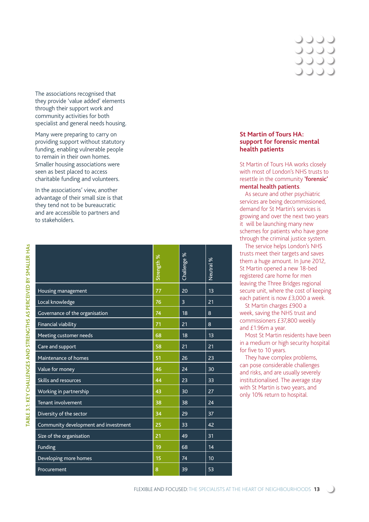The associations recognised that they provide 'value added' elements through their support work and community activities for both specialist and general needs housing.

Many were preparing to carry on providing support without statutory funding, enabling vulnerable people to remain in their own homes. Smaller housing associations were seen as best placed to access charitable funding and volunteers.

In the associations' view, another advantage of their small size is that they tend not to be bureaucratic and are accessible to partners and to stakeholders.

|                                      | Strength % | %<br>Challenge | Neutral % |
|--------------------------------------|------------|----------------|-----------|
| Housing management                   | 77         | 20             | 13        |
| Local knowledge                      | 76         | $\overline{3}$ | 21        |
| Governance of the organisation       | 74         | 18             | 8         |
| <b>Financial viability</b>           | 71         | 21             | 8         |
| Meeting customer needs               | 68         | 18             | 13        |
| Care and support                     | 58         | 21             | 21        |
| Maintenance of homes                 | 51         | 26             | 23        |
| Value for money                      | 46         | 24             | 30        |
| <b>Skills and resources</b>          | 44         | 23             | 33        |
| Working in partnership               | 43         | 30             | 27        |
| <b>Tenant involvement</b>            | 38         | 38             | 24        |
| Diversity of the sector              | 34         | 29             | 37        |
| Community development and investment | 25         | 33             | 42        |
| Size of the organisation             | 21         | 49             | 31        |
| <b>Funding</b>                       | 19         | 68             | 14        |
| Developing more homes                | 15         | 74             | 10        |
| Procurement                          | 8          | 39             | 53        |

### **St Martin of Tours HA: support for forensic mental health patients**

St Martin of Tours HA works closely with most of London's NHS trusts to resettle in the community 'forensic' mental health patients.

As secure and other psychiatric services are being decommissioned, demand for St Martin's services is growing and over the next two years it will be launching many new schemes for patients who have gone through the criminal justice system.

The service helps London's NHS trusts meet their targets and saves them a huge amount. In June 2012, St Martin opened a new 18-bed registered care home for men leaving the Three Bridges regional secure unit, where the cost of keeping each patient is now £3,000 a week.

St Martin charges £900 a week, saving the NHS trust and commissioners £37,800 weekly and £1.96m a year.

Most St Martin residents have been in a medium or high security hospital for five to 10 years.

They have complex problems, can pose considerable challenges and risks, and are usually severely institutionalised. The average stay with St Martin is two years, and only 10% return to hospital.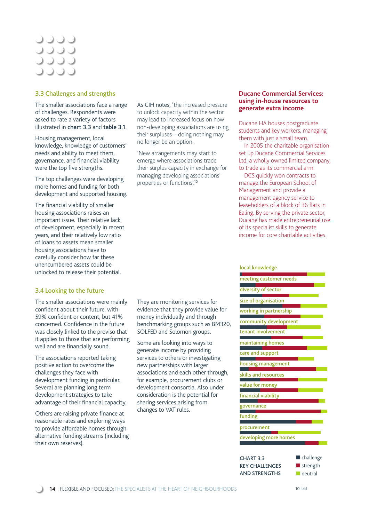### 0000 **JJJJ JJJJ DOOC**

### 3.3 Challenges and strengths

The smaller associations face a range of challenges. Respondents were asked to rate a variety of factors illustrated in chart 3.3 and table 3.1.

Housing management, local knowledge, knowledge of customers' needs and ability to meet them, governance, and financial viability were the top five strengths.

The top challenges were developing more homes and funding for both development and supported housing.

The financial viability of smaller housing associations raises an important issue. Their relative lack of development, especially in recent years, and their relatively low ratio of loans to assets mean smaller housing associations have to carefully consider how far these unencumbered assets could be unlocked to release their potential.

### 3.4 Looking to the future

The smaller associations were mainly confident about their future, with 59% confident or content. but 41% concerned. Confidence in the future was closely linked to the proviso that it applies to those that are performing well and are financially sound.

The associations reported taking positive action to overcome the challenges they face with development funding in particular. Several are planning long term development strategies to take advantage of their financial capacity.

Others are raising private finance at reasonable rates and exploring ways to provide affordable homes through alternative funding streams (including their own reserves).

As CIH notes, 'the increased pressure to unlock capacity within the sector may lead to increased focus on how non-developing associations are using their surpluses – doing nothing may no longer be an option.

'New arrangements may start to emerge where associations trade their surplus capacity in exchange for managing developing associations' properties or functions'.10

They are monitoring services for evidence that they provide value for money individually and through benchmarking groups such as BM320,

SOLFED and Solomon groups. Some are looking into ways to generate income by providing services to others or investigating new partnerships with larger

associations and each other through, for example, procurement clubs or development consortia. Also under consideration is the potential for sharing services arising from changes to VAT rules.

### **Ducane Commercial Services: using in-house resources to generate extra income**

Ducane HA houses postgraduate students and key workers, managing them with just a small team.

In 2005 the charitable organisation set up Ducane Commercial Services Ltd, a wholly owned limited company, to trade as its commercial arm.

DCS quickly won contracts to manage the European School of Management and provide a management agency service to leaseholders of a block of 36 flats in Ealing. By serving the private sector, Ducane has made entrepreneurial use of its specialist skills to generate income for core charitable activities.

#### local knowledge

| meeting customer needs |
|------------------------|
| diversity of sector    |
| size of organisation   |
| working in partnership |
| community development  |
| tenant involvement     |
| maintaining homes      |
| care and support       |
| housing management     |
| skills and resources   |
| value for money        |
| financial viability    |
| governance             |
| funding                |
| procurement            |
| developing more homes  |
|                        |
| challongo              |

CHART 3.3 KEY CHALLENGES AND STRENGTHS ■ challenge ■ strength ■ neutral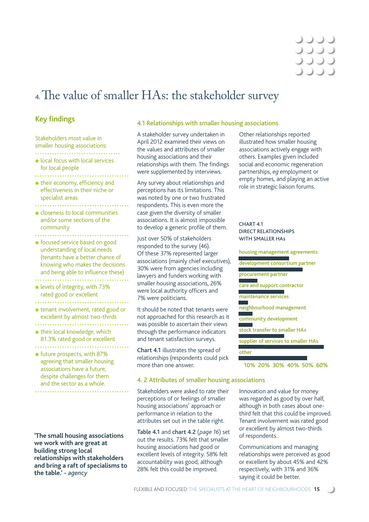### 4. The value of smaller HAs: the stakeholder survey

### **Key findings**

Stakeholders most value in smaller housing associations: 

- local focus with local services for local people
- 
- $\bullet$  their economy, efficiency and effectiveness in their niche or specialist areas
- ● closeness to local communities
- and/or some sections of the community
- focused service based on good understanding of local needs (tenants have a better chance of knowing who makes the decisions and being able to influence these)
- levels of integrity, with 73% rated good or excellent
- ● tenant involvement, rated good or excellent by almost two-thirds
- 
- $\bullet$  their local knowledge, which 81.3% rated good or excellent
- future prospects, with 87% agreeing that smaller housing associations have a future, despite challenges for them and the sector as a whole.

**'The small housing associations we work with are great at building strong local relationships with stakeholders and bring a raft of specialisms to the table.' -** *agency*

### 4.1 Relationships with smaller housing associations

A stakeholder survey undertaken in April 2012 examined their views on the values and attributes of smaller housing associations and their relationships with them. The findings were supplemented by interviews.

Any survey about relationships and perceptions has its limitations. This was noted by one or two frustrated respondents. This is even more the case given the diversity of smaller associations. It is almost impossible to develop a generic profile of them.

Just over 50% of stakeholders responded to the survey (46). Of these 37% represented larger associations (mainly chief executives), 30% were from agencies including lawyers and funders working with smaller housing associations, 26% were local authority officers and 7% were politicians.

It should be noted that tenants were not approached for this research as it was possible to ascertain their views through the performance indicators and tenant satisfaction surveys.

Chart 4.1 illustrates the spread of relationships (respondents could pick more than one answer.

### 4. 2 Attributes of smaller housing associations

Stakeholders were asked to rate their perceptions of or feelings of smaller housing associations' approach or performance in relation to the attributes set out in the table right.

Table 4.1 and chart 4.2 (*page 16*) set out the results. 73% felt that smaller housing associations had good or excellent levels of integrity. 58% felt accountability was good, although 28% felt this could be improved.

Other relationships reported illustrated how smaller housing associations actively engage with others. Examples given included social and economic regeneration partnerships, *eg* employment or empty homes, and playing an active role in strategic liaison forums.

#### CHART 4.1 DIRECT RELATIONSHIPS WITH SMALLER HAs

housing management agreements development consortium partner procurement partner care and support contractor г maintenance services neighbourhood management community development stock transfer to smaller HAs supplier of services to smaller HAs other

10% 20% 30% 40% 50% 60%

Innovation and value for money was regarded as good by over half, although in both cases about onethird felt that this could be improved. Tenant involvement was rated good or excellent by almost two-thirds of respondents.

Communications and managing relationships were perceived as good or excellent by about 45% and 42% respectively, with 31% and 36% saying it could be better.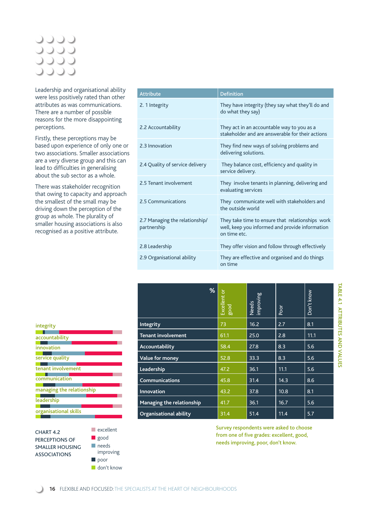### 0000 **JJJJ JJJJ** 0000

Leadership and organisational ability were less positively rated than other attributes as was communications. There are a number of possible reasons for the more disappointing perceptions.

Firstly, these perceptions may be based upon experience of only one or two associations. Smaller associations are a very diverse group and this can lead to difficulties in generalising about the sub sector as a whole.

There was stakeholder recognition that owing to capacity and approach the smallest of the small may be driving down the perception of the group as whole. The plurality of smaller housing associations is also recognised as a positive attribute.

| <b>Attribute</b>                              | <b>Definition</b>                                                                                                   |
|-----------------------------------------------|---------------------------------------------------------------------------------------------------------------------|
| 2. 1 Integrity                                | They have integrity (they say what they'll do and<br>do what they say)                                              |
| 2.2 Accountability                            | They act in an accountable way to you as a<br>stakeholder and are answerable for their actions                      |
| 2.3 Innovation                                | They find new ways of solving problems and<br>delivering solutions.                                                 |
| 2.4 Quality of service delivery               | They balance cost, efficiency and quality in<br>service delivery.                                                   |
| 2.5 Tenant involvement                        | They involve tenants in planning, delivering and<br>evaluating services                                             |
| 2.5 Communications                            | They communicate well with stakeholders and<br>the outside world                                                    |
| 2.7 Managing the relationship/<br>partnership | They take time to ensure that relationships work<br>well, keep you informed and provide information<br>on time etc. |
| 2.8 Leadership                                | They offer vision and follow through effectively                                                                    |
| 2.9 Organisational ability                    | They are effective and organised and do things<br>on time                                                           |

| %                                | Excellent or<br><b>Pood</b> | Needs<br>improving | Poor | Don't know |
|----------------------------------|-----------------------------|--------------------|------|------------|
| Integrity                        | 73                          | 16.2               | 2.7  | 8.1        |
| <b>Tenant involvement</b>        | 61.1                        | 25.0               | 2.8  | 11.1       |
| Accountability                   | 58.4                        | 27.8               | 8.3  | 5.6        |
| Value for money                  | 52.8                        | 33.3               | 8.3  | 5.6        |
| Leadership                       | 47.2                        | 36.1               | 11.1 | 5.6        |
| <b>Communications</b>            | 45.8                        | 31.4               | 14.3 | 8.6        |
| <b>Innovation</b>                | 43.2                        | 37.8               | 10.8 | 8.1        |
| <b>Managing the relationship</b> | 41.7                        | 36.1               | 16.7 | 5.6        |
| <b>Organisational ability</b>    | 31.4                        | 51.4               | 11.4 | 5.7        |

| Survey respondents were asked to choose   |
|-------------------------------------------|
| from one of five grades: excellent, good, |
| needs improving, poor, don't know.        |

| integrity                 |
|---------------------------|
|                           |
| accountability            |
|                           |
| innovation                |
|                           |
| service quality           |
|                           |
| tenant involvement        |
|                           |
| communication             |
|                           |
| managing the relationship |
|                           |
| leadership                |
|                           |
| organisational skills     |
|                           |



■ excellent ■ good ■ needs improving ■ poor ■ don't know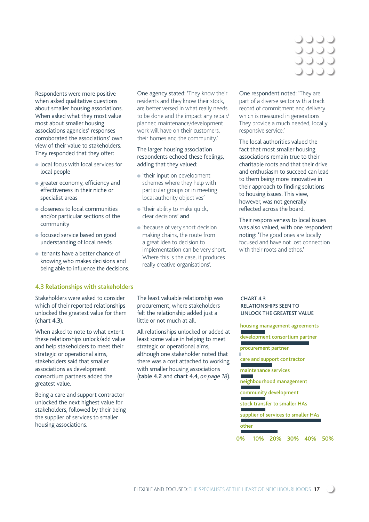### טטנ JJJJJ JOOC

Respondents were more positive when asked qualitative questions about smaller housing associations. When asked what they most value most about smaller housing associations agencies' responses corroborated the associations' own view of their value to stakeholders. They responded that they offer:

- local focus with local services for local people
- $\bullet$  greater economy, efficiency and effectiveness in their niche or specialist areas
- closeness to local communities and/or particular sections of the community
- focused service based on good understanding of local needs
- tenants have a better chance of knowing who makes decisions and being able to influence the decisions.

#### 4.3 Relationships with stakeholders

Stakeholders were asked to consider which of their reported relationships unlocked the greatest value for them (chart 4.3).

When asked to note to what extent these relationships unlock/add value and help stakeholders to meet their strategic or operational aims, stakeholders said that smaller associations as development consortium partners added the greatest value.

Being a care and support contractor unlocked the next highest value for stakeholders, followed by their being the supplier of services to smaller housing associations.

One agency stated: 'They know their residents and they know their stock, are better versed in what really needs to be done and the impact any repair/ planned maintenance/development work will have on their customers, their homes and the community.'

### The larger housing association respondents echoed these feelings, adding that they valued:

- 'their input on development schemes where they help with particular groups or in meeting local authority objectives'
- $\bullet$  'their ability to make quick, clear decisions' and
- 'because of very short decision making chains, the route from a great idea to decision to implementation can be very short. Where this is the case, it produces really creative organisations'.

One respondent noted: 'They are part of a diverse sector with a track record of commitment and delivery which is measured in generations. They provide a much needed, locally responsive service.'

The local authorities valued the fact that most smaller housing associations remain true to their charitable roots and that their drive and enthusiasm to succeed can lead to them being more innovative in their approach to finding solutions to housing issues. This view, however, was not generally reflected across the board.

Their responsiveness to local issues was also valued, with one respondent noting: 'The good ones are locally focused and have not lost connection with their roots and ethos'

The least valuable relationship was procurement, where stakeholders felt the relationship added just a little or not much at all.

All relationships unlocked or added at least some value in helping to meet strategic or operational aims, although one stakeholder noted that there was a cost attached to working with smaller housing associations (table 4.2 and chart 4.4, *on page 18*).

#### CHART 4.3 RELATIONSHIPS SEEN TO UNLOCK THE GREATEST VALUE

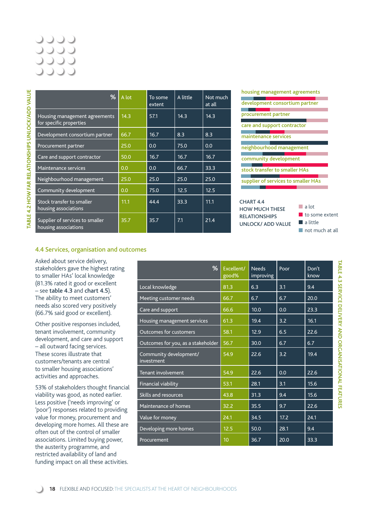### JUU J 0000 **JJJJ**

| ℅                                                        | A lot | To some<br>extent | A little | Not much<br>at all |
|----------------------------------------------------------|-------|-------------------|----------|--------------------|
| Housing management agreements<br>for specific properties | 14.3  | 57.1              | 14.3     | 14.3               |
| Development consortium partner                           | 66.7  | 16.7              | 8.3      | 8.3                |
| Procurement partner                                      | 25.0  | 0.0               | 75.0     | 0.0                |
| Care and support contractor                              | 50.0  | 16.7              | 16.7     | 16.7               |
| <b>Maintenance services</b>                              | 0.0   | 0.0               | 66.7     | 33.3               |
| Neighbourhood management                                 | 25.0  | 25.0              | 25.0     | 25.0               |
| Community development                                    | 0.0   | 75.0              | 12.5     | 12.5               |
| Stock transfer to smaller<br>housing associations        | 11.1  | 44.4              | 33.3     | 11.1               |
| Supplier of services to smaller<br>housing associations  | 35.7  | 35.7              | 7.1      | 21.4               |

### housing management agreements development consortium partner procurement partner care and support contractor m. maintenance services neighbourhood management community development stock transfer to smaller HAs supplier of services to smaller HAs CHART 4.4 ■ a lot HOW MUCH THESE RELATIONSHIPS

UNLOCK/ ADD VALUE

■ to some extent

### ■ not much at all

■ a little

### 4.4 Services, organisation and outcomes

Asked about service delivery, stakeholders gave the highest rating to smaller HAs' local knowledge (81.3% rated it good or excellent – see table 4.3 and chart 4.5). The ability to meet customers' needs also scored very positively (66.7% said good or excellent).

Other positive responses included, tenant involvement, community development, and care and support – all outward facing services. These scores illustrate that customers/tenants are central to smaller housing associations' activities and approaches.

53% of stakeholders thought financial viability was good, as noted earlier. Less positive ('needs improving' or 'poor') responses related to providing value for money, procurement and developing more homes. All these are often out of the control of smaller associations. Limited buying power, the austerity programme, and restricted availability of land and funding impact on all these activities.

| %                                    | Excellent/<br>good% | <b>Needs</b><br>improving | Poor | Don't<br>know |
|--------------------------------------|---------------------|---------------------------|------|---------------|
| Local knowledge                      | 81.3                | 6.3                       | 3.1  | 9.4           |
| Meeting customer needs               | 66.7                | 6.7                       | 6.7  | 20.0          |
| Care and support                     | 66.6                | 10.0                      | 0.0  | 23.3          |
| Housing management services          | 61.3                | 19.4                      | 3.2  | 16.1          |
| <b>Outcomes for customers</b>        | 58.1                | 12.9                      | 6.5  | 22.6          |
| Outcomes for you, as a stakeholder   | 56.7                | 30.0                      | 6.7  | 6.7           |
| Community development/<br>investment | 54.9                | 22.6                      | 3.2  | 19.4          |
| Tenant involvement                   | 54.9                | 22.6                      | 0.0  | 22.6          |
| Financial viability                  | 53.1                | 28.1                      | 3.1  | 15.6          |
| <b>Skills and resources</b>          | 43.8                | 31.3                      | 9.4  | 15.6          |
| Maintenance of homes                 | 32.2                | 35.5                      | 9.7  | 22.6          |
| Value for money                      | 24.1                | 34.5                      | 17.2 | 24.1          |
| Developing more homes                | 12.5                | 50.0                      | 28.1 | 9.4           |
| Procurement                          | 10                  | 36.7                      | 20.0 | 33.3          |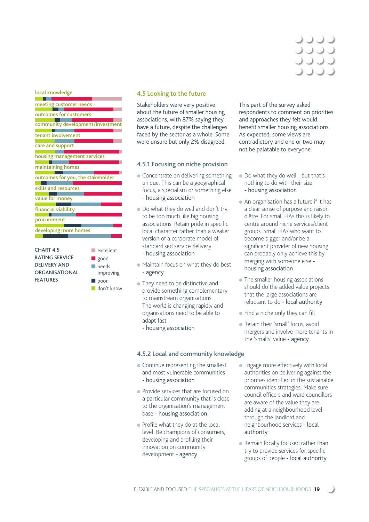### JUUC **JJJJ JJJJ**

local knowledge

| meeting customer needs                                                                                                                                                        |
|-------------------------------------------------------------------------------------------------------------------------------------------------------------------------------|
| outcomes for customers                                                                                                                                                        |
| community development/investment                                                                                                                                              |
| tenant involvement                                                                                                                                                            |
| care and support                                                                                                                                                              |
| housing management services                                                                                                                                                   |
| maintaining homes                                                                                                                                                             |
| outcomes for you, the stakeholder                                                                                                                                             |
| skills and resources                                                                                                                                                          |
| value for money                                                                                                                                                               |
| financial viability                                                                                                                                                           |
| procurement                                                                                                                                                                   |
| developing more homes                                                                                                                                                         |
| <b>CHART 4.5</b><br>excellent<br><b>RATING SERVICE</b><br>good<br><b>DELIVERY AND</b><br>needs<br><b>ORGANISATIONAL</b><br>improving<br><b>FEATURES</b><br>poor<br>don't know |

### 4.5 Looking to the future

Stakeholders were very positive about the future of smaller housing associations, with 87% saying they have a future, despite the challenges faced by the sector as a whole. Some were unsure but only 2% disagreed.

#### 4.5.1 Focusing on niche provision

- Concentrate on delivering something unique. This can be a geographical focus, a specialism or something else - housing association
- Do what they do well and don't try to be too much like big housing associations. Retain pride in specific local character rather than a weaker version of a corporate model of standardised service delivery
- housing association
- Maintain focus on what they do best - agency
- They need to be distinctive and provide something complementary to mainstream organisations. The world is changing rapidly and organisations need to be able to adapt fast
	- housing association

### 4.5.2 Local and community knowledge

- $\bullet$  Continue representing the smallest and most vulnerable communities - housing association
- Provide services that are focused on a particular community that is close to the organisation's management base - housing association
- $\bullet$  Profile what they do at the local level. Be champions of consumers, developing and profiling their innovation on community development - agency

This part of the survey asked respondents to comment on priorities and approaches they felt would benefit smaller housing associations. As expected, some views are contradictory and one or two may not be palatable to everyone.

- Do what they do well but that's nothing to do with their size - housing association
- An organisation has a future if it has a clear sense of purpose and raison d'être. For small HAs this is likely to centre around niche services/client groups. Small HAs who want to become bigger and/or be a significant provider of new housing can probably only achieve this by merging with someone else housing association
- The smaller housing associations should do the added value projects that the large associations are reluctant to do - local authority
- $\bullet$  Find a niche only they can fill
- Retain their 'small' focus, avoid mergers and involve more tenants in the 'smalls' value - agency
- Engage more effectively with local authorities on delivering against the priorities identified in the sustainable communities strategies. Make sure council officers and ward councillors are aware of the value they are adding at a neighbourhood level through the landlord and neighbourhood services - local authority
- Remain locally focused rather than try to provide services for specific groups of people - local authority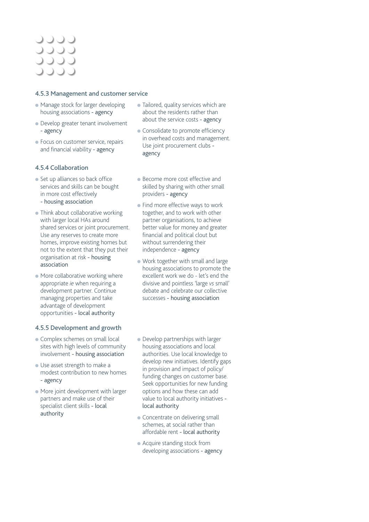### UUUU 0000 0000 OOOC

### 4.5.3 Management and customer service

- Manage stock for larger developing housing associations - agency
- Develop greater tenant involvement - agency
- Focus on customer service, repairs and financial viability - agency

### 4.5.4 Collaboration

- $\bullet$  Set up alliances so back office services and skills can be bought in more cost effectively - housing association
- Think about collaborative working with larger local HAs around shared services or joint procurement. Use any reserves to create more homes, improve existing homes but not to the extent that they put their organisation at risk - housing association
- $\bullet$  More collaborative working where appropriate *ie* when requiring a development partner. Continue managing properties and take advantage of development opportunities - local authority

### 4.5.5 Development and growth

- Complex schemes on small local sites with high levels of community involvement - housing association
- Use asset strength to make a modest contribution to new homes - agency
- More joint development with larger partners and make use of their specialist client skills - local authority
- Tailored, quality services which are about the residents rather than about the service costs - agency
- Consolidate to promote efficiency in overhead costs and management. Use joint procurement clubs agency
- Become more cost effective and skilled by sharing with other small providers - agency
- Find more effective ways to work together, and to work with other partner organisations, to achieve better value for money and greater financial and political clout but without surrendering their independence - agency
- Work together with small and large housing associations to promote the excellent work we do - let's end the divisive and pointless 'large *vs* small' debate and celebrate our collective successes - housing association
- Develop partnerships with larger housing associations and local authorities. Use local knowledge to develop new initiatives. Identify gaps in provision and impact of policy/ funding changes on customer base. Seek opportunities for new funding options and how these can add value to local authority initiatives local authority
- Concentrate on delivering small schemes, at social rather than affordable rent - local authority
- Acquire standing stock from developing associations - agency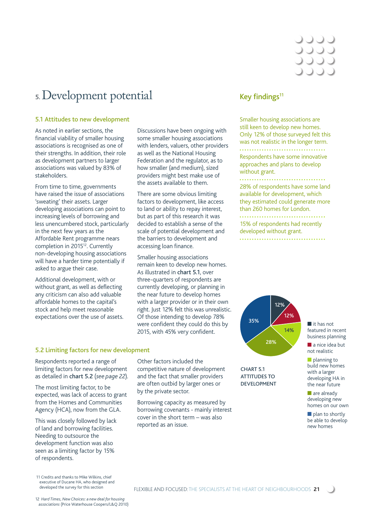### **5.** Development potential

### 5.1 Attitudes to new development

As noted in earlier sections, the financial viability of smaller housing associations is recognised as one of their strengths. In addition, their role as development partners to larger associations was valued by 83% of stakeholders.

From time to time, governments have raised the issue of associations 'sweating' their assets. Larger developing associations can point to increasing levels of borrowing and less unencumbered stock, particularly in the next few years as the Affordable Rent programme nears completion in 2015<sup>12</sup>. Currently non-developing housing associations will have a harder time potentially if asked to argue their case.

Additional development, with or without grant, as well as deflecting any criticism can also add valuable affordable homes to the capital's stock and help meet reasonable expectations over the use of assets.

Discussions have been ongoing with some smaller housing associations with lenders, valuers, other providers as well as the National Housing Federation and the regulator, as to how smaller (and medium), sized providers might best make use of the assets available to them.

There are some obvious limiting factors to development, like access to land or ability to repay interest, but as part of this research it was decided to establish a sense of the scale of potential development and the barriers to development and accessing loan finance.

Smaller housing associations remain keen to develop new homes. As illustrated in chart 5.1, over three-quarters of respondents are currently developing, or planning in the near future to develop homes with a larger provider or in their own right. Just 12% felt this was unrealistic. Of those intending to develop 78% were confident they could do this by 2015, with 45% very confident.

Other factors included the

by the private sector.

reported as an issue.

competitive nature of development and the fact that smaller providers are often outbid by larger ones or

Borrowing capacity as measured by borrowing covenants - mainly interest cover in the short term – was also

### Key findings $11$

Smaller housing associations are still keen to develop new homes. Only 12% of those surveyed felt this was not realistic in the longer term. Respondents have some innovative approaches and plans to develop without grant. 

28% of respondents have some land available for development, which they estimated could generate more than 260 homes for London.

15% of respondents had recently developed without grant.



### CHART 5.1 ATTITUDES TO DEVELOPMENT

■ it has not featured in recent business planning

■ a nice idea but not realistic

■ planning to build new homes with a larger developing HA in the near future

■ are already developing new homes on our own

■ plan to shortly be able to develop new homes

### 5.2 Limiting factors for new development

Respondents reported a range of limiting factors for new development as detailed in chart 5.2 (*see page 22*).

The most limiting factor, to be expected, was lack of access to grant from the Homes and Communities Agency (HCA), now from the GLA.

This was closely followed by lack of land and borrowing facilities. Needing to outsource the development function was also seen as a limiting factor by 15% of respondents.

11 Credits and thanks to Mike Wilkins, chief executive of Ducane HA, who designed and developed the survey for this section

12 *Hard Times, New Choices: a new deal for housing associations* (Price Waterhouse Coopers/L&Q 2010)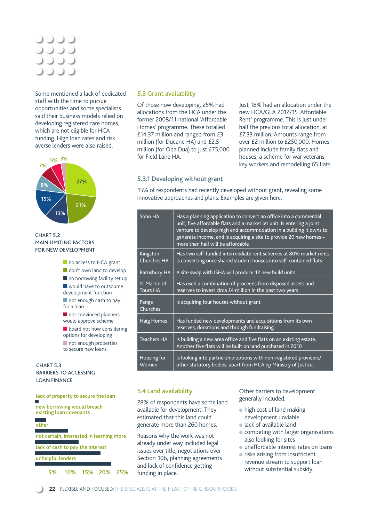### UUUU 0000 **JJJJ**

Some mentioned a lack of dedicated staff with the time to pursue opportunities and some specialists said their business models relied on developing registered care homes, which are not eligible for HCA funding. High loan rates and risk averse lenders were also raised.



### CHART 5.2 MAIN LIMITING FACTORS FOR NEW DEVELOPMENT



### BARRIERS TO ACCESSING LOAN FINANCE

lack of property to secure the loan new borrowing would breach

other

not certain, interested in learning more

lack of cash to pay the interest

#### unhelpful lenders

5% 10% 15% 20% 25%

### 5.3 Grant availability

Of those now developing, 25% had allocations from the HCA under the former 2008/11 national 'Affordable Homes' programme. These totalled £14.37 million and ranged from £3 million (for Ducane HA) and £2.5 million (for Oda Dua) to just £75,000 for Field Lane HA.

Just 18% had an allocation under the new HCA/GLA 2012/15 'Affordable Rent' programme. This is just under half the previous total allocation, at £7.33 million. Amounts range from over £2 million to £250,000. Homes planned include family flats and houses, a scheme for war veterans, key workers and remodelling 65 flats.

### 5.3.1 Developing without grant

15% of respondents had recently developed without grant, revealing some innovative approaches and plans. Examples are given here.

| Soho HA                         | Has a planning application to convert an office into a commercial<br>unit, five affordable flats and a market let unit. Is entering a joint<br>venture to develop high end accommodation in a building it owns to<br>generate income, and is acquiring a site to provide 20 new homes -<br>more than half will be affordable |
|---------------------------------|------------------------------------------------------------------------------------------------------------------------------------------------------------------------------------------------------------------------------------------------------------------------------------------------------------------------------|
| Kingston<br><b>Churches HA</b>  | Has two self-funded intermediate rent schemes at 80% market rents.<br>Is converting once shared student houses into self-contained flats                                                                                                                                                                                     |
| Barnsbury HA                    | A site swap with ISHA will produce 12 new build units                                                                                                                                                                                                                                                                        |
| St Martin of<br><b>Tours HA</b> | Has used a combination of proceeds from disposed assets and<br>reserves to invest circa £4 million in the past two years                                                                                                                                                                                                     |
| Penge<br>Churches               | Is acquiring four houses without grant                                                                                                                                                                                                                                                                                       |
| <b>Haig Homes</b>               | Has funded new developments and acquisitions from its own<br>reserves, donations and through fundraising                                                                                                                                                                                                                     |
| <b>Teachers HA</b>              | Is building a new area office and five flats on an existing estate.<br>Another five flats will be built on land purchased in 2010                                                                                                                                                                                            |
| Housing for<br>Women            | Is looking into partnership options with non-registered providers/<br>other statutory bodies, apart from HCA eq Ministry of Justice.                                                                                                                                                                                         |

### 5.4 Land availability

28% of respondents have some land available for development. They estimated that this land could generate more than 260 homes.

Reasons why the work was not already under way included legal issues over title, negotiations over Section 106, planning agreements and lack of confidence getting funding in place.

Other barriers to development generally included:

- high cost of land making development unviable
- lack of available land
- competing with larger organisations also looking for sites
- unaffordable interest rates on loans
- $\bullet$  risks arising from insufficient revenue stream to support loan without substantial subsidy.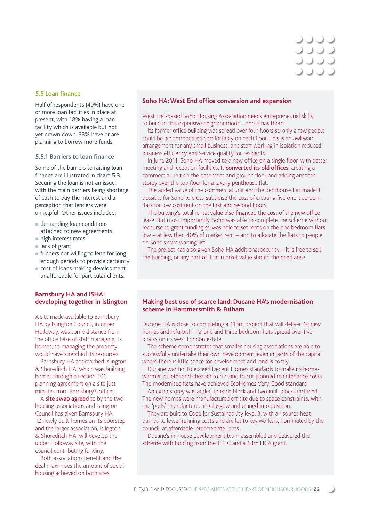# **JJJJ** JOOK

### 5.5 Loan finance

Half of respondents (49%) have one or more loan facilities in place at present, with 18% having a loan facility which is available but not yet drawn down. 33% have or are planning to borrow more funds.

#### 5.5.1 Barriers to loan finance

Some of the barriers to raising loan finance are illustrated in chart 5.3. Securing the loan is not an issue, with the main barriers being shortage of cash to pay the interest and a perception that lenders were unhelpful. Other issues included:

- demanding loan conditions attached to new agreements
- high interest rates
- lack of grant
- funders not willing to lend for long enough periods to provide certainty
- cost of loans making development unaffordable for particular clients.

### **Barnsbury HA and ISHA: developing together in Islington**

A site made available to Barnsbury HA by Islington Council, in upper Holloway, was some distance from the office base of staff managing its homes, so managing the property would have stretched its resources.

Barnsbury HA approached Islington & Shoreditch HA, which was building homes through a section 106 planning agreement on a site just minutes from Barnsbury's offices.

A site swap agreed to by the two housing associations and Islington Council has given Barnsbury HA 12 newly built homes on its doorstep and the larger association, Islington & Shoreditch HA, will develop the upper Holloway site, with the council contributing funding.

Both associations benefit and the deal maximises the amount of social housing achieved on both sites.

#### **Soho HA: West End office conversion and expansion**

West End-based Soho Housing Association needs entrepreneurial skills to build in this expensive neighbourhood - and it has them.

Its former office building was spread over four floors so only a few people could be accommodated comfortably on each floor. This is an awkward arrangement for any small business, and staff working in isolation reduced business efficiency and service quality for residents.

In June 2011, Soho HA moved to a new office on a single floor, with better meeting and reception facilities. It **converted its old offices**, creating a commercial unit on the basement and ground floor and adding another storey over the top floor for a luxury penthouse flat.

The added value of the commercial unit and the penthouse flat made it possible for Soho to cross-subsidise the cost of creating five one-bedroom flats for low cost rent on the first and second floors.

The building's total rental value also financed the cost of the new office lease. But most importantly, Soho was able to complete the scheme without recourse to grant funding so was able to set rents on the one bedroom flats  $low - at less than 40%$  of market rent – and to allocate the flats to people on Soho's own waiting list.

The project has also given Soho HA additional security  $-$  it is free to sell the building, or any part of it, at market value should the need arise.

### **Making best use of scarce land: Ducane HA's modernisation scheme in Hammersmith & Fulham**

Ducane HA is close to completing a £13m project that will deliver 44 new homes and refurbish 112 one and three bedroom flats spread over five blocks on its west London estate.

The scheme demonstrates that smaller housing associations are able to successfully undertake their own development, even in parts of the capital where there is little space for development and land is costly.

Ducane wanted to exceed Decent Homes standards to make its homes warmer, quieter and cheaper to run and to cut planned maintenance costs. The modernised flats have achieved EcoHomes Very Good standard.

An extra storey was added to each block and two infill blocks included. The new homes were manufactured off site due to space constraints, with the 'pods' manufactured in Glasgow and craned into position.

They are built to Code for Sustainability level 3, with air source heat pumps to lower running costs and are let to key workers, nominated by the council, at affordable intermediate rents.

Ducane's in-house development team assembled and delivered the scheme with funding from the THFC and a £3m HCA grant.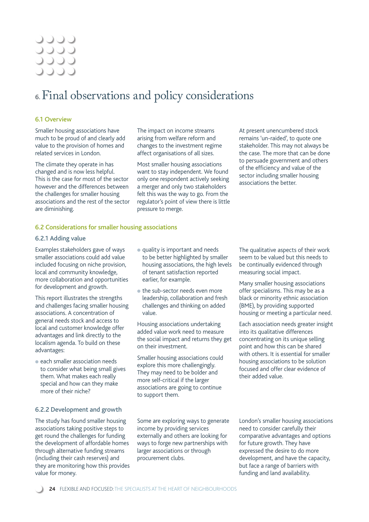### 0000 0000 **JJJJ DOOC**

### **6.** Final observations and policy considerations

### 6.1 Overview

Smaller housing associations have much to be proud of and clearly add value to the provision of homes and related services in London.

The climate they operate in has changed and is now less helpful. This is the case for most of the sector however and the differences between the challenges for smaller housing associations and the rest of the sector are diminishing.

The impact on income streams arising from welfare reform and changes to the investment regime affect organisations of all sizes.

Most smaller housing associations want to stay independent. We found only one respondent actively seeking a merger and only two stakeholders felt this was the way to go. From the regulator's point of view there is little pressure to merge.

At present unencumbered stock remains 'un-raided', to quote one stakeholder. This may not always be the case. The more that can be done to persuade government and others of the efficiency and value of the sector including smaller housing associations the better.

### 6.2 Considerations for smaller housing associations

#### 6.2.1 Adding value

Examples stakeholders gave of ways smaller associations could add value included focusing on niche provision, local and community knowledge, more collaboration and opportunities for development and growth.

This report illustrates the strengths and challenges facing smaller housing associations. A concentration of general needs stock and access to local and customer knowledge offer advantages and link directly to the localism agenda. To build on these advantages:

● each smaller association needs to consider what being small gives them. What makes each really special and how can they make more of their niche?

### 6.2.2 Development and growth

The study has found smaller housing associations taking positive steps to get round the challenges for funding the development of affordable homes through alternative funding streams (including their cash reserves) and they are monitoring how this provides value for money.

- quality is important and needs to be better highlighted by smaller housing associations, the high levels of tenant satisfaction reported earlier, for example.
- the sub-sector needs even more leadership, collaboration and fresh challenges and thinking on added value.

Housing associations undertaking added value work need to measure the social impact and returns they get on their investment.

Smaller housing associations could explore this more challengingly. They may need to be bolder and more self-critical if the larger associations are going to continue to support them.

Some are exploring ways to generate income by providing services externally and others are looking for ways to forge new partnerships with larger associations or through procurement clubs.

The qualitative aspects of their work seem to be valued but this needs to be continually evidenced through measuring social impact.

Many smaller housing associations offer specialisms. This may be as a black or minority ethnic association (BME), by providing supported housing or meeting a particular need.

Each association needs greater insight into its qualitative differences concentrating on its unique selling point and how this can be shared with others. It is essential for smaller housing associations to be solution focused and offer clear evidence of their added value.

London's smaller housing associations need to consider carefully their comparative advantages and options for future growth. They have expressed the desire to do more development, and have the capacity, but face a range of barriers with funding and land availability.

**24** FLEXIBLE AND FOCUSED: THE SPECIALISTS AT THE HEART OF NEIGHBOURHOODS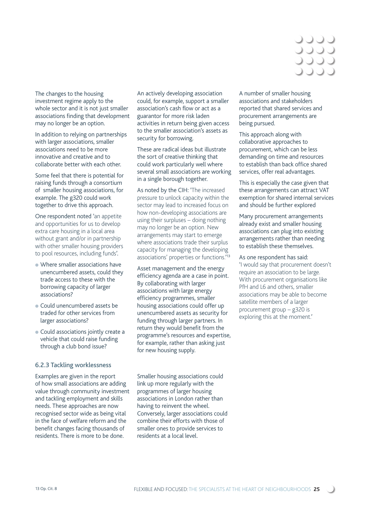

The changes to the housing investment regime apply to the whole sector and it is not just smaller associations finding that development may no longer be an option.

In addition to relying on partnerships with larger associations, smaller associations need to be more innovative and creative and to collaborate better with each other.

Some feel that there is potential for raising funds through a consortium of smaller housing associations, for example. The g320 could work together to drive this approach.

One respondent noted 'an appetite and opportunities for us to develop extra care housing in a local area without grant and/or in partnership with other smaller housing providers to pool resources, including funds'.

- Where smaller associations have unencumbered assets, could they trade access to these with the borrowing capacity of larger associations?
- Could unencumbered assets be traded for other services from larger associations?
- Could associations jointly create a vehicle that could raise funding through a club bond issue?

### 6.2.3 Tackling worklessness

Examples are given in the report of how small associations are adding value through community investment and tackling employment and skills needs. These approaches are now recognised sector wide as being vital in the face of welfare reform and the benefit changes facing thousands of residents. There is more to be done.

An actively developing association could, for example, support a smaller association's cash flow or act as a guarantor for more risk laden activities in return being given access to the smaller association's assets as security for borrowing.

These are radical ideas but illustrate the sort of creative thinking that could work particularly well where several small associations are working in a single borough together.

As noted by the CIH: 'The increased pressure to unlock capacity within the sector may lead to increased focus on how non-developing associations are using their surpluses – doing nothing may no longer be an option. New arrangements may start to emerge where associations trade their surplus capacity for managing the developing associations' properties or functions.' 13

Asset management and the energy efficiency agenda are a case in point. By collaborating with larger associations with large energy efficiency programmes, smaller housing associations could offer up unencumbered assets as security for funding through larger partners. In return they would benefit from the programme's resources and expertise, for example, rather than asking just for new housing supply.

Smaller housing associations could link up more regularly with the programmes of larger housing associations in London rather than having to reinvent the wheel. Conversely, larger associations could combine their efforts with those of smaller ones to provide services to residents at a local level.

A number of smaller housing associations and stakeholders reported that shared services and procurement arrangements are being pursued.

This approach along with collaborative approaches to procurement, which can be less demanding on time and resources to establish than back office shared services, offer real advantages.

This is especially the case given that these arrangements can attract VAT exemption for shared internal services and should be further explored

Many procurement arrangements already exist and smaller housing associations can plug into existing arrangements rather than needing to establish these themselves.

As one respondent has said: 'I would say that procurement doesn't require an association to be large. With procurement organisations like PfH and L6 and others, smaller associations may be able to become satellite members of a larger procurement group – g320 is exploring this at the moment.'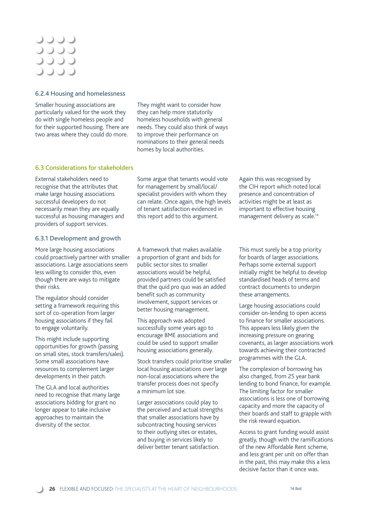### 0000 **JJJJ JJJJ**

### 6.2.4 Housing and homelessness

Smaller housing associations are particularly valued for the work they do with single homeless people and for their supported housing. There are two areas where they could do more.

They might want to consider how they can help more statutorily homeless households with general needs. They could also think of ways to improve their performance on nominations to their general needs homes by local authorities.

### 6.3 Considerations for stakeholders

External stakeholders need to recognise that the attributes that make large housing associations successful developers do not necessarily mean they are equally successful as housing managers and providers of support services.

### 6.3.1 Development and growth

More large housing associations could proactively partner with smaller associations. Large associations seem less willing to consider this, even though there are ways to mitigate their risks.

The regulator should consider setting a framework requiring this sort of co-operation from larger housing associations if they fail to engage voluntarily.

This might include supporting opportunities for growth (passing on small sites, stock transfers/sales). Some small associations have resources to complement larger developments in their patch.

The GLA and local authorities need to recognise that many large associations bidding for grant no longer appear to take inclusive approaches to maintain the diversity of the sector.

Some argue that tenants would vote for management by small/local/ specialist providers with whom they can relate. Once again, the high levels of tenant satisfaction evidenced in this report add to this argument.

Again this was recognised by the CIH report which noted local presence and concentration of activities might be at least as important to effective housing management delivery as scale.14

A framework that makes available a proportion of grant and bids for public sector sites to smaller associations would be helpful, provided partners could be satisfied that the quid pro quo was an added benefit such as community involvement, support services or better housing management.

This approach was adopted successfully some years ago to encourage BME associations and could be used to support smaller housing associations generally.

Stock transfers could prioritise smaller local housing associations over large non-local associations where the transfer process does not specify a minimum lot size.

Larger associations could play to the perceived and actual strengths that smaller associations have by subcontracting housing services to their outlying sites or estates, and buying in services likely to deliver better tenant satisfaction.

This must surely be a top priority for boards of larger associations. Perhaps some external support initially might be helpful to develop standardised heads of terms and contract documents to underpin these arrangements.

Large housing associations could consider on-lending to open access to finance for smaller associations. This appears less likely given the increasing pressure on gearing covenants, as larger associations work towards achieving their contracted programmes with the GLA.

The complexion of borrowing has also changed, from 25 year bank lending to bond finance, for example. The limiting factor for smaller associations is less one of borrowing capacity and more the capacity of their boards and staff to grapple with the risk reward equation.

Access to grant funding would assist greatly, though with the ramifications of the new Affordable Rent scheme, and less grant per unit on offer than in the past, this may make this a less decisive factor than it once was.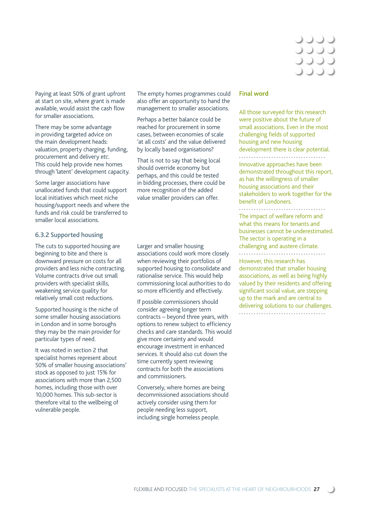

Paying at least 50% of grant upfront at start on site, where grant is made available, would assist the cash flow for smaller associations.

There may be some advantage in providing targeted advice on the main development heads: valuation, property charging, funding, procurement and delivery *etc*. This could help provide new homes through 'latent' development capacity.

Some larger associations have unallocated funds that could support local initiatives which meet niche housing/support needs and where the funds and risk could be transferred to smaller local associations.

### 6.3.2 Supported housing

The cuts to supported housing are beginning to bite and there is downward pressure on costs for all providers and less niche contracting. Volume contracts drive out small providers with specialist skills, weakening service quality for relatively small cost reductions.

Supported housing is the niche of some smaller housing associations in London and in some boroughs they may be the main provider for particular types of need.

It was noted in section 2 that specialist homes represent about 50% of smaller housing associations' stock as opposed to just 15% for associations with more than 2,500 homes, including those with over 10,000 homes. This sub-sector is therefore vital to the wellbeing of vulnerable people.

The empty homes programmes could also offer an opportunity to hand the management to smaller associations.

Perhaps a better balance could be reached for procurement in some cases, between economies of scale 'at all costs' and the value delivered by locally based organisations?

That is not to say that being local should override economy but perhaps, and this could be tested in bidding processes, there could be more recognition of the added value smaller providers can offer.

Larger and smaller housing associations could work more closely when reviewing their portfolios of supported housing to consolidate and rationalise service. This would help commissioning local authorities to do so more efficiently and effectively.

If possible commissioners should consider agreeing longer term contracts – beyond three years, with options to renew subject to efficiency checks and care standards. This would give more certainty and would encourage investment in enhanced services. It should also cut down the time currently spent reviewing contracts for both the associations and commissioners.

Conversely, where homes are being decommissioned associations should actively consider using them for people needing less support, including single homeless people.

#### Final **word**

All those surveyed for this research were positive about the future of small associations. Even in the most challenging fields of supported housing and new housing development there is clear potential. .................................. Innovative approaches have been demonstrated throughout this report, as has the willingness of smaller housing associations and their stakeholders to work together for the benefit of Londoners.

The impact of welfare reform and

what this means for tenants and businesses cannot be underestimated. The sector is operating in a challenging and austere climate.

However, this research has demonstrated that smaller housing associations, as well as being highly valued by their residents and offering significant social value, are stepping up to the mark and are central to delivering solutions to our challenges...................................